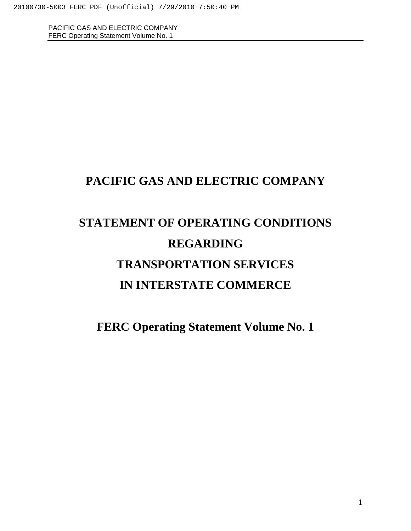# **PACIFIC GAS AND ELECTRIC COMPANY**

# **STATEMENT OF OPERATING CONDITIONS REGARDING TRANSPORTATION SERVICES IN INTERSTATE COMMERCE**

**FERC Operating Statement Volume No. 1**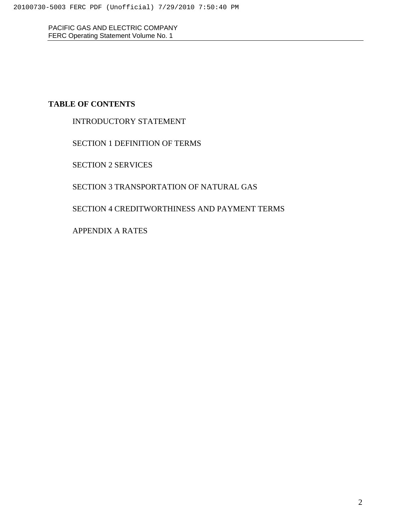# **TABLE OF CONTENTS**

INTRODUCTORY STATEMENT

SECTION 1 DEFINITION OF TERMS

SECTION 2 SERVICES

SECTION 3 TRANSPORTATION OF NATURAL GAS

SECTION 4 CREDITWORTHINESS AND PAYMENT TERMS

APPENDIX A RATES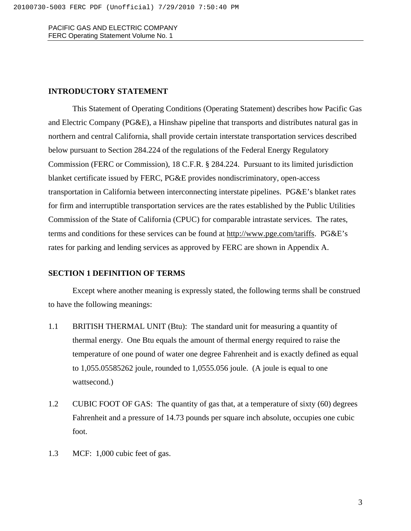#### **INTRODUCTORY STATEMENT**

This Statement of Operating Conditions (Operating Statement) describes how Pacific Gas and Electric Company (PG&E), a Hinshaw pipeline that transports and distributes natural gas in northern and central California, shall provide certain interstate transportation services described below pursuant to Section 284.224 of the regulations of the Federal Energy Regulatory Commission (FERC or Commission), 18 C.F.R. § 284.224. Pursuant to its limited jurisdiction blanket certificate issued by FERC, PG&E provides nondiscriminatory, open-access transportation in California between interconnecting interstate pipelines. PG&E's blanket rates for firm and interruptible transportation services are the rates established by the Public Utilities Commission of the State of California (CPUC) for comparable intrastate services. The rates, terms and conditions for these services can be found at [http://www.pge.com/tariffs.](http://www.pge.com/tariffs) PG&E's rates for parking and lending services as approved by FERC are shown in Appendix A.

# **SECTION 1 DEFINITION OF TERMS**

Except where another meaning is expressly stated, the following terms shall be construed to have the following meanings:

- 1.1 BRITISH THERMAL UNIT (Btu): The standard unit for measuring a quantity of thermal energy. One Btu equals the amount of thermal energy required to raise the temperature of one pound of water one degree Fahrenheit and is exactly defined as equal to 1,055.05585262 joule, rounded to 1,0555.056 joule. (A joule is equal to one wattsecond.)
- 1.2 CUBIC FOOT OF GAS: The quantity of gas that, at a temperature of sixty (60) degrees Fahrenheit and a pressure of 14.73 pounds per square inch absolute, occupies one cubic foot.
- 1.3 MCF: 1,000 cubic feet of gas.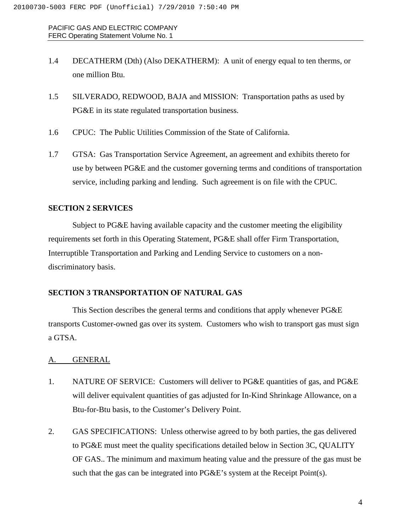- 1.4 DECATHERM (Dth) (Also DEKATHERM): A unit of energy equal to ten therms, or one million Btu.
- 1.5 SILVERADO, REDWOOD, BAJA and MISSION: Transportation paths as used by PG&E in its state regulated transportation business.
- 1.6 CPUC: The Public Utilities Commission of the State of California.
- 1.7 GTSA: Gas Transportation Service Agreement, an agreement and exhibits thereto for use by between PG&E and the customer governing terms and conditions of transportation service, including parking and lending. Such agreement is on file with the CPUC.

# **SECTION 2 SERVICES**

Subject to PG&E having available capacity and the customer meeting the eligibility requirements set forth in this Operating Statement, PG&E shall offer Firm Transportation, Interruptible Transportation and Parking and Lending Service to customers on a nondiscriminatory basis.

#### **SECTION 3 TRANSPORTATION OF NATURAL GAS**

This Section describes the general terms and conditions that apply whenever PG&E transports Customer-owned gas over its system. Customers who wish to transport gas must sign a GTSA.

#### A. GENERAL

- 1. NATURE OF SERVICE: Customers will deliver to PG&E quantities of gas, and PG&E will deliver equivalent quantities of gas adjusted for In-Kind Shrinkage Allowance, on a Btu-for-Btu basis, to the Customer's Delivery Point.
- 2. GAS SPECIFICATIONS: Unless otherwise agreed to by both parties, the gas delivered to PG&E must meet the quality specifications detailed below in Section 3C, QUALITY OF GAS.. The minimum and maximum heating value and the pressure of the gas must be such that the gas can be integrated into PG&E's system at the Receipt Point(s).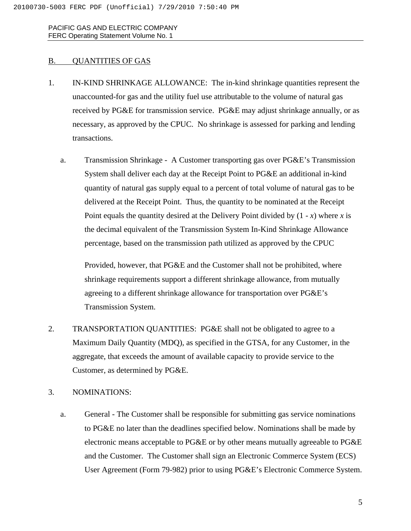#### B. QUANTITIES OF GAS

- 1. IN-KIND SHRINKAGE ALLOWANCE: The in-kind shrinkage quantities represent the unaccounted-for gas and the utility fuel use attributable to the volume of natural gas received by PG&E for transmission service. PG&E may adjust shrinkage annually, or as necessary, as approved by the CPUC. No shrinkage is assessed for parking and lending transactions.
	- a. Transmission Shrinkage A Customer transporting gas over PG&E's Transmission System shall deliver each day at the Receipt Point to PG&E an additional in-kind quantity of natural gas supply equal to a percent of total volume of natural gas to be delivered at the Receipt Point. Thus, the quantity to be nominated at the Receipt Point equals the quantity desired at the Delivery Point divided by (1 - *x*) where *x* is the decimal equivalent of the Transmission System In-Kind Shrinkage Allowance percentage, based on the transmission path utilized as approved by the CPUC

Provided, however, that PG&E and the Customer shall not be prohibited, where shrinkage requirements support a different shrinkage allowance, from mutually agreeing to a different shrinkage allowance for transportation over PG&E's Transmission System.

2. TRANSPORTATION QUANTITIES: PG&E shall not be obligated to agree to a Maximum Daily Quantity (MDQ), as specified in the GTSA, for any Customer, in the aggregate, that exceeds the amount of available capacity to provide service to the Customer, as determined by PG&E.

# 3. NOMINATIONS:

a. General - The Customer shall be responsible for submitting gas service nominations to PG&E no later than the deadlines specified below. Nominations shall be made by electronic means acceptable to PG&E or by other means mutually agreeable to PG&E and the Customer. The Customer shall sign an Electronic Commerce System (ECS) User Agreement (Form 79-982) prior to using PG&E's Electronic Commerce System.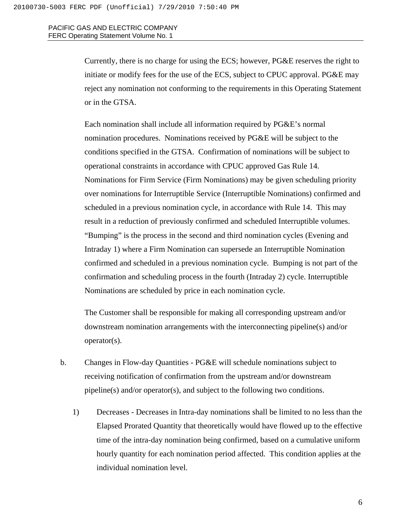> Currently, there is no charge for using the ECS; however, PG&E reserves the right to initiate or modify fees for the use of the ECS, subject to CPUC approval. PG&E may reject any nomination not conforming to the requirements in this Operating Statement or in the GTSA.

> Each nomination shall include all information required by PG&E's normal nomination procedures. Nominations received by PG&E will be subject to the conditions specified in the GTSA. Confirmation of nominations will be subject to operational constraints in accordance with CPUC approved Gas Rule 14. Nominations for Firm Service (Firm Nominations) may be given scheduling priority over nominations for Interruptible Service (Interruptible Nominations) confirmed and scheduled in a previous nomination cycle, in accordance with Rule 14. This may result in a reduction of previously confirmed and scheduled Interruptible volumes. "Bumping" is the process in the second and third nomination cycles (Evening and Intraday 1) where a Firm Nomination can supersede an Interruptible Nomination confirmed and scheduled in a previous nomination cycle. Bumping is not part of the confirmation and scheduling process in the fourth (Intraday 2) cycle. Interruptible Nominations are scheduled by price in each nomination cycle.

The Customer shall be responsible for making all corresponding upstream and/or downstream nomination arrangements with the interconnecting pipeline(s) and/or operator(s).

- b. Changes in Flow-day Quantities PG&E will schedule nominations subject to receiving notification of confirmation from the upstream and/or downstream pipeline(s) and/or operator(s), and subject to the following two conditions.
	- 1) Decreases Decreases in Intra-day nominations shall be limited to no less than the Elapsed Prorated Quantity that theoretically would have flowed up to the effective time of the intra-day nomination being confirmed, based on a cumulative uniform hourly quantity for each nomination period affected. This condition applies at the individual nomination level.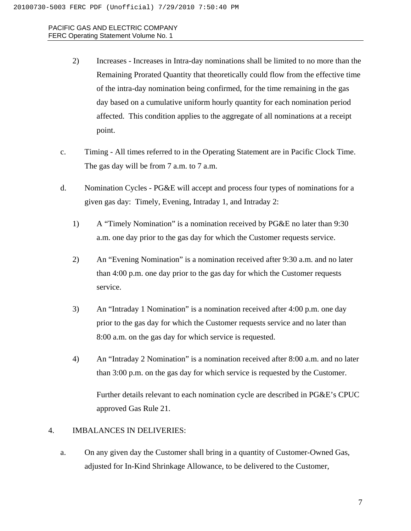- 2) Increases Increases in Intra-day nominations shall be limited to no more than the Remaining Prorated Quantity that theoretically could flow from the effective time of the intra-day nomination being confirmed, for the time remaining in the gas day based on a cumulative uniform hourly quantity for each nomination period affected. This condition applies to the aggregate of all nominations at a receipt point.
- c. Timing All times referred to in the Operating Statement are in Pacific Clock Time. The gas day will be from 7 a.m. to 7 a.m.
- d. Nomination Cycles PG&E will accept and process four types of nominations for a given gas day: Timely, Evening, Intraday 1, and Intraday 2:
	- 1) A "Timely Nomination" is a nomination received by PG&E no later than 9:30 a.m. one day prior to the gas day for which the Customer requests service.
	- 2) An "Evening Nomination" is a nomination received after 9:30 a.m. and no later than 4:00 p.m. one day prior to the gas day for which the Customer requests service.
	- 3) An "Intraday 1 Nomination" is a nomination received after 4:00 p.m. one day prior to the gas day for which the Customer requests service and no later than 8:00 a.m. on the gas day for which service is requested.
	- 4) An "Intraday 2 Nomination" is a nomination received after 8:00 a.m. and no later than 3:00 p.m. on the gas day for which service is requested by the Customer.

Further details relevant to each nomination cycle are described in PG&E's CPUC approved Gas Rule 21.

# 4. IMBALANCES IN DELIVERIES:

a. On any given day the Customer shall bring in a quantity of Customer-Owned Gas, adjusted for In-Kind Shrinkage Allowance, to be delivered to the Customer,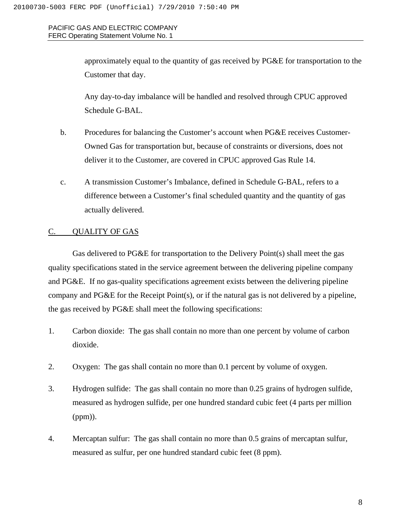> approximately equal to the quantity of gas received by PG&E for transportation to the Customer that day.

Any day-to-day imbalance will be handled and resolved through CPUC approved Schedule G-BAL.

- b. Procedures for balancing the Customer's account when PG&E receives Customer-Owned Gas for transportation but, because of constraints or diversions, does not deliver it to the Customer, are covered in CPUC approved Gas Rule 14.
- c. A transmission Customer's Imbalance, defined in Schedule G-BAL, refers to a difference between a Customer's final scheduled quantity and the quantity of gas actually delivered.

#### C. QUALITY OF GAS

Gas delivered to PG&E for transportation to the Delivery Point(s) shall meet the gas quality specifications stated in the service agreement between the delivering pipeline company and PG&E. If no gas-quality specifications agreement exists between the delivering pipeline company and PG&E for the Receipt Point(s), or if the natural gas is not delivered by a pipeline, the gas received by PG&E shall meet the following specifications:

- 1. Carbon dioxide: The gas shall contain no more than one percent by volume of carbon dioxide.
- 2. Oxygen: The gas shall contain no more than 0.1 percent by volume of oxygen.
- 3. Hydrogen sulfide: The gas shall contain no more than 0.25 grains of hydrogen sulfide, measured as hydrogen sulfide, per one hundred standard cubic feet (4 parts per million (ppm)).
- 4. Mercaptan sulfur: The gas shall contain no more than 0.5 grains of mercaptan sulfur, measured as sulfur, per one hundred standard cubic feet (8 ppm).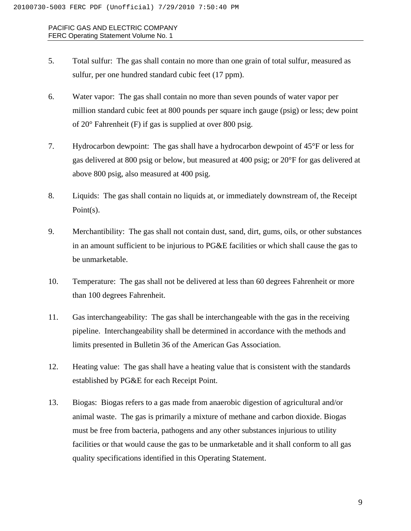- 5. Total sulfur: The gas shall contain no more than one grain of total sulfur, measured as sulfur, per one hundred standard cubic feet (17 ppm).
- 6. Water vapor: The gas shall contain no more than seven pounds of water vapor per million standard cubic feet at 800 pounds per square inch gauge (psig) or less; dew point of 20° Fahrenheit (F) if gas is supplied at over 800 psig.
- 7. Hydrocarbon dewpoint: The gas shall have a hydrocarbon dewpoint of 45°F or less for gas delivered at 800 psig or below, but measured at 400 psig; or 20°F for gas delivered at above 800 psig, also measured at 400 psig.
- 8. Liquids: The gas shall contain no liquids at, or immediately downstream of, the Receipt Point(s).
- 9. Merchantibility: The gas shall not contain dust, sand, dirt, gums, oils, or other substances in an amount sufficient to be injurious to PG&E facilities or which shall cause the gas to be unmarketable.
- 10. Temperature: The gas shall not be delivered at less than 60 degrees Fahrenheit or more than 100 degrees Fahrenheit.
- 11. Gas interchangeability: The gas shall be interchangeable with the gas in the receiving pipeline. Interchangeability shall be determined in accordance with the methods and limits presented in Bulletin 36 of the American Gas Association.
- 12. Heating value: The gas shall have a heating value that is consistent with the standards established by PG&E for each Receipt Point.
- 13. Biogas: Biogas refers to a gas made from anaerobic digestion of agricultural and/or animal waste. The gas is primarily a mixture of methane and carbon dioxide. Biogas must be free from bacteria, pathogens and any other substances injurious to utility facilities or that would cause the gas to be unmarketable and it shall conform to all gas quality specifications identified in this Operating Statement.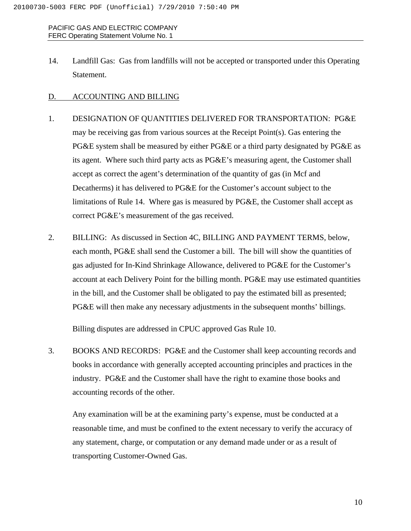14. Landfill Gas: Gas from landfills will not be accepted or transported under this Operating Statement.

# D. ACCOUNTING AND BILLING

- 1. DESIGNATION OF QUANTITIES DELIVERED FOR TRANSPORTATION: PG&E may be receiving gas from various sources at the Receipt Point(s). Gas entering the PG&E system shall be measured by either PG&E or a third party designated by PG&E as its agent. Where such third party acts as PG&E's measuring agent, the Customer shall accept as correct the agent's determination of the quantity of gas (in Mcf and Decatherms) it has delivered to PG&E for the Customer's account subject to the limitations of Rule 14. Where gas is measured by PG&E, the Customer shall accept as correct PG&E's measurement of the gas received.
- 2. BILLING: As discussed in Section 4C, BILLING AND PAYMENT TERMS, below, each month, PG&E shall send the Customer a bill. The bill will show the quantities of gas adjusted for In-Kind Shrinkage Allowance, delivered to PG&E for the Customer's account at each Delivery Point for the billing month. PG&E may use estimated quantities in the bill, and the Customer shall be obligated to pay the estimated bill as presented; PG&E will then make any necessary adjustments in the subsequent months' billings.

Billing disputes are addressed in CPUC approved Gas Rule 10.

3. BOOKS AND RECORDS: PG&E and the Customer shall keep accounting records and books in accordance with generally accepted accounting principles and practices in the industry. PG&E and the Customer shall have the right to examine those books and accounting records of the other.

Any examination will be at the examining party's expense, must be conducted at a reasonable time, and must be confined to the extent necessary to verify the accuracy of any statement, charge, or computation or any demand made under or as a result of transporting Customer-Owned Gas.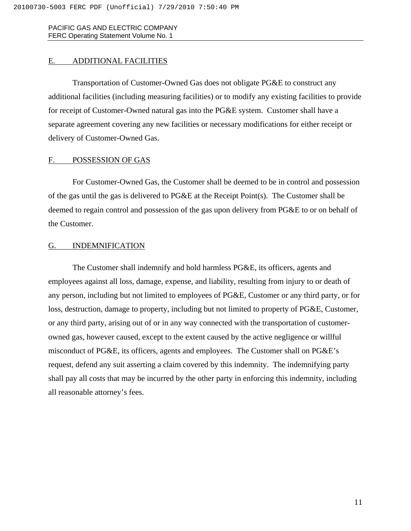# E. ADDITIONAL FACILITIES

Transportation of Customer-Owned Gas does not obligate PG&E to construct any additional facilities (including measuring facilities) or to modify any existing facilities to provide for receipt of Customer-Owned natural gas into the PG&E system. Customer shall have a separate agreement covering any new facilities or necessary modifications for either receipt or delivery of Customer-Owned Gas.

#### F. POSSESSION OF GAS

For Customer-Owned Gas, the Customer shall be deemed to be in control and possession of the gas until the gas is delivered to  $PG\&E$  at the Receipt Point(s). The Customer shall be deemed to regain control and possession of the gas upon delivery from PG&E to or on behalf of the Customer.

#### G. INDEMNIFICATION

The Customer shall indemnify and hold harmless PG&E, its officers, agents and employees against all loss, damage, expense, and liability, resulting from injury to or death of any person, including but not limited to employees of PG&E, Customer or any third party, or for loss, destruction, damage to property, including but not limited to property of PG&E, Customer, or any third party, arising out of or in any way connected with the transportation of customerowned gas, however caused, except to the extent caused by the active negligence or willful misconduct of PG&E, its officers, agents and employees. The Customer shall on PG&E's request, defend any suit asserting a claim covered by this indemnity. The indemnifying party shall pay all costs that may be incurred by the other party in enforcing this indemnity, including all reasonable attorney's fees.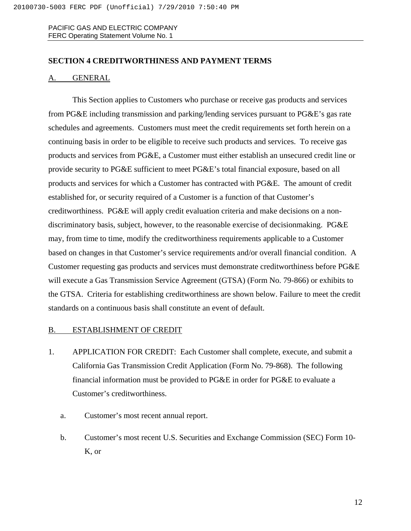# **SECTION 4 CREDITWORTHINESS AND PAYMENT TERMS**

### A. GENERAL

This Section applies to Customers who purchase or receive gas products and services from PG&E including transmission and parking/lending services pursuant to PG&E's gas rate schedules and agreements. Customers must meet the credit requirements set forth herein on a continuing basis in order to be eligible to receive such products and services. To receive gas products and services from PG&E, a Customer must either establish an unsecured credit line or provide security to PG&E sufficient to meet PG&E's total financial exposure, based on all products and services for which a Customer has contracted with PG&E. The amount of credit established for, or security required of a Customer is a function of that Customer's creditworthiness. PG&E will apply credit evaluation criteria and make decisions on a nondiscriminatory basis, subject, however, to the reasonable exercise of decisionmaking. PG&E may, from time to time, modify the creditworthiness requirements applicable to a Customer based on changes in that Customer's service requirements and/or overall financial condition. A Customer requesting gas products and services must demonstrate creditworthiness before PG&E will execute a Gas Transmission Service Agreement (GTSA) (Form No. 79-866) or exhibits to the GTSA. Criteria for establishing creditworthiness are shown below. Failure to meet the credit standards on a continuous basis shall constitute an event of default.

#### B. ESTABLISHMENT OF CREDIT

- 1. APPLICATION FOR CREDIT: Each Customer shall complete, execute, and submit a California Gas Transmission Credit Application (Form No. 79-868). The following financial information must be provided to PG&E in order for PG&E to evaluate a Customer's creditworthiness.
	- a. Customer's most recent annual report.
	- b. Customer's most recent U.S. Securities and Exchange Commission (SEC) Form 10- K, or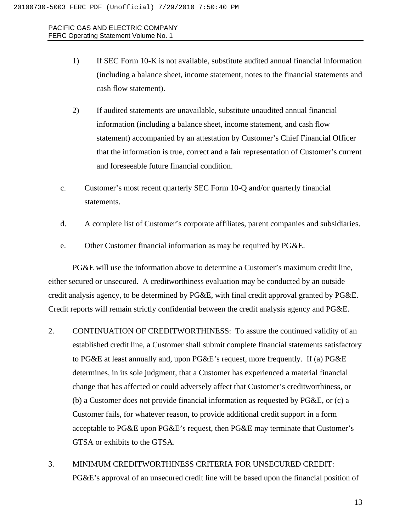- 1) If SEC Form 10-K is not available, substitute audited annual financial information (including a balance sheet, income statement, notes to the financial statements and cash flow statement).
- 2) If audited statements are unavailable, substitute unaudited annual financial information (including a balance sheet, income statement, and cash flow statement) accompanied by an attestation by Customer's Chief Financial Officer that the information is true, correct and a fair representation of Customer's current and foreseeable future financial condition.
- c. Customer's most recent quarterly SEC Form 10-Q and/or quarterly financial statements.
- d. A complete list of Customer's corporate affiliates, parent companies and subsidiaries.
- e. Other Customer financial information as may be required by PG&E.

PG&E will use the information above to determine a Customer's maximum credit line, either secured or unsecured. A creditworthiness evaluation may be conducted by an outside credit analysis agency, to be determined by PG&E, with final credit approval granted by PG&E. Credit reports will remain strictly confidential between the credit analysis agency and PG&E.

- 2. CONTINUATION OF CREDITWORTHINESS: To assure the continued validity of an established credit line, a Customer shall submit complete financial statements satisfactory to PG&E at least annually and, upon PG&E's request, more frequently. If (a) PG&E determines, in its sole judgment, that a Customer has experienced a material financial change that has affected or could adversely affect that Customer's creditworthiness, or (b) a Customer does not provide financial information as requested by PG&E, or (c) a Customer fails, for whatever reason, to provide additional credit support in a form acceptable to PG&E upon PG&E's request, then PG&E may terminate that Customer's GTSA or exhibits to the GTSA.
- 3. MINIMUM CREDITWORTHINESS CRITERIA FOR UNSECURED CREDIT: PG&E's approval of an unsecured credit line will be based upon the financial position of

13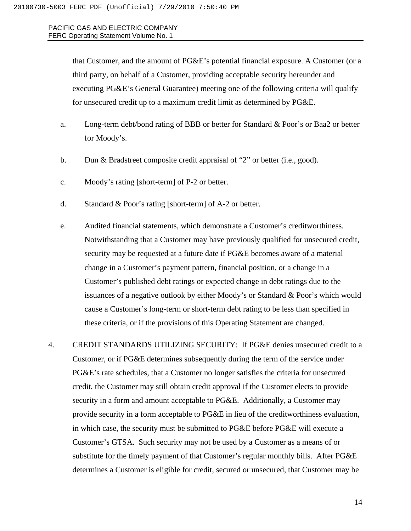> that Customer, and the amount of PG&E's potential financial exposure. A Customer (or a third party, on behalf of a Customer, providing acceptable security hereunder and executing PG&E's General Guarantee) meeting one of the following criteria will qualify for unsecured credit up to a maximum credit limit as determined by PG&E.

- a. Long-term debt/bond rating of BBB or better for Standard & Poor's or Baa2 or better for Moody's.
- b. Dun & Bradstreet composite credit appraisal of "2" or better (i.e., good).
- c. Moody's rating [short-term] of P-2 or better.
- d. Standard & Poor's rating [short-term] of A-2 or better.
- e. Audited financial statements, which demonstrate a Customer's creditworthiness. Notwithstanding that a Customer may have previously qualified for unsecured credit, security may be requested at a future date if PG&E becomes aware of a material change in a Customer's payment pattern, financial position, or a change in a Customer's published debt ratings or expected change in debt ratings due to the issuances of a negative outlook by either Moody's or Standard & Poor's which would cause a Customer's long-term or short-term debt rating to be less than specified in these criteria, or if the provisions of this Operating Statement are changed.

4. CREDIT STANDARDS UTILIZING SECURITY: If PG&E denies unsecured credit to a Customer, or if PG&E determines subsequently during the term of the service under PG&E's rate schedules, that a Customer no longer satisfies the criteria for unsecured credit, the Customer may still obtain credit approval if the Customer elects to provide security in a form and amount acceptable to PG&E. Additionally, a Customer may provide security in a form acceptable to PG&E in lieu of the creditworthiness evaluation, in which case, the security must be submitted to PG&E before PG&E will execute a Customer's GTSA. Such security may not be used by a Customer as a means of or substitute for the timely payment of that Customer's regular monthly bills. After PG&E determines a Customer is eligible for credit, secured or unsecured, that Customer may be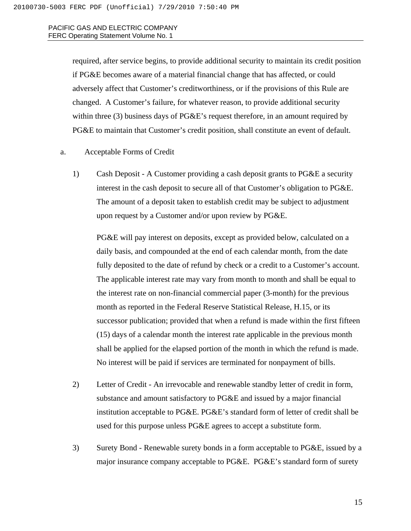required, after service begins, to provide additional security to maintain its credit position if PG&E becomes aware of a material financial change that has affected, or could adversely affect that Customer's creditworthiness, or if the provisions of this Rule are changed. A Customer's failure, for whatever reason, to provide additional security within three (3) business days of PG&E's request therefore, in an amount required by PG&E to maintain that Customer's credit position, shall constitute an event of default.

- a. Acceptable Forms of Credit
	- 1) Cash Deposit A Customer providing a cash deposit grants to PG&E a security interest in the cash deposit to secure all of that Customer's obligation to PG&E. The amount of a deposit taken to establish credit may be subject to adjustment upon request by a Customer and/or upon review by PG&E.

PG&E will pay interest on deposits, except as provided below, calculated on a daily basis, and compounded at the end of each calendar month, from the date fully deposited to the date of refund by check or a credit to a Customer's account. The applicable interest rate may vary from month to month and shall be equal to the interest rate on non-financial commercial paper (3-month) for the previous month as reported in the Federal Reserve Statistical Release, H.15, or its successor publication; provided that when a refund is made within the first fifteen (15) days of a calendar month the interest rate applicable in the previous month shall be applied for the elapsed portion of the month in which the refund is made. No interest will be paid if services are terminated for nonpayment of bills.

- 2) Letter of Credit An irrevocable and renewable standby letter of credit in form, substance and amount satisfactory to PG&E and issued by a major financial institution acceptable to PG&E. PG&E's standard form of letter of credit shall be used for this purpose unless PG&E agrees to accept a substitute form.
- 3) Surety Bond Renewable surety bonds in a form acceptable to PG&E, issued by a major insurance company acceptable to PG&E. PG&E's standard form of surety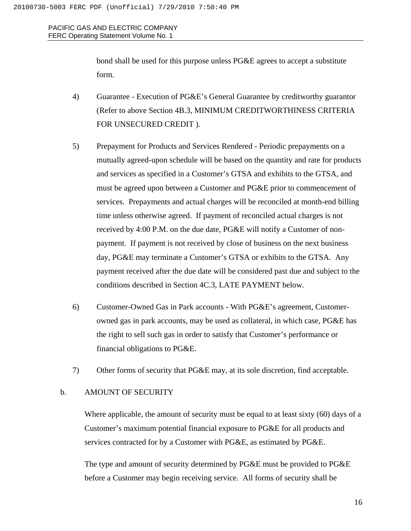> bond shall be used for this purpose unless PG&E agrees to accept a substitute form.

- 4) Guarantee Execution of PG&E's General Guarantee by creditworthy guarantor (Refer to above Section 4B.3, MINIMUM CREDITWORTHINESS CRITERIA FOR UNSECURED CREDIT ).
- 5) Prepayment for Products and Services Rendered Periodic prepayments on a mutually agreed-upon schedule will be based on the quantity and rate for products and services as specified in a Customer's GTSA and exhibits to the GTSA, and must be agreed upon between a Customer and PG&E prior to commencement of services. Prepayments and actual charges will be reconciled at month-end billing time unless otherwise agreed. If payment of reconciled actual charges is not received by 4:00 P.M. on the due date, PG&E will notify a Customer of nonpayment. If payment is not received by close of business on the next business day, PG&E may terminate a Customer's GTSA or exhibits to the GTSA. Any payment received after the due date will be considered past due and subject to the conditions described in Section 4C.3, LATE PAYMENT below.
- 6) Customer-Owned Gas in Park accounts With PG&E's agreement, Customerowned gas in park accounts, may be used as collateral, in which case, PG&E has the right to sell such gas in order to satisfy that Customer's performance or financial obligations to PG&E.
- 7) Other forms of security that PG&E may, at its sole discretion, find acceptable.

#### b. AMOUNT OF SECURITY

Where applicable, the amount of security must be equal to at least sixty (60) days of a Customer's maximum potential financial exposure to PG&E for all products and services contracted for by a Customer with PG&E, as estimated by PG&E.

The type and amount of security determined by PG&E must be provided to PG&E before a Customer may begin receiving service. All forms of security shall be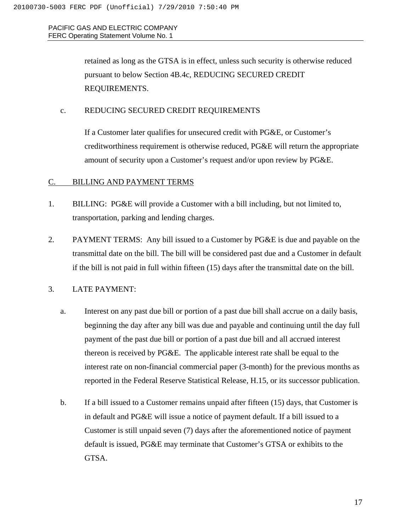> retained as long as the GTSA is in effect, unless such security is otherwise reduced pursuant to below Section 4B.4c, REDUCING SECURED CREDIT REQUIREMENTS.

#### c. REDUCING SECURED CREDIT REQUIREMENTS

If a Customer later qualifies for unsecured credit with PG&E, or Customer's creditworthiness requirement is otherwise reduced, PG&E will return the appropriate amount of security upon a Customer's request and/or upon review by PG&E.

#### C. BILLING AND PAYMENT TERMS

- 1. BILLING: PG&E will provide a Customer with a bill including, but not limited to, transportation, parking and lending charges.
- 2. PAYMENT TERMS: Any bill issued to a Customer by PG&E is due and payable on the transmittal date on the bill. The bill will be considered past due and a Customer in default if the bill is not paid in full within fifteen (15) days after the transmittal date on the bill.

# 3. LATE PAYMENT:

- a. Interest on any past due bill or portion of a past due bill shall accrue on a daily basis, beginning the day after any bill was due and payable and continuing until the day full payment of the past due bill or portion of a past due bill and all accrued interest thereon is received by PG&E. The applicable interest rate shall be equal to the interest rate on non-financial commercial paper (3-month) for the previous months as reported in the Federal Reserve Statistical Release, H.15, or its successor publication.
- b. If a bill issued to a Customer remains unpaid after fifteen (15) days, that Customer is in default and PG&E will issue a notice of payment default. If a bill issued to a Customer is still unpaid seven (7) days after the aforementioned notice of payment default is issued, PG&E may terminate that Customer's GTSA or exhibits to the GTSA.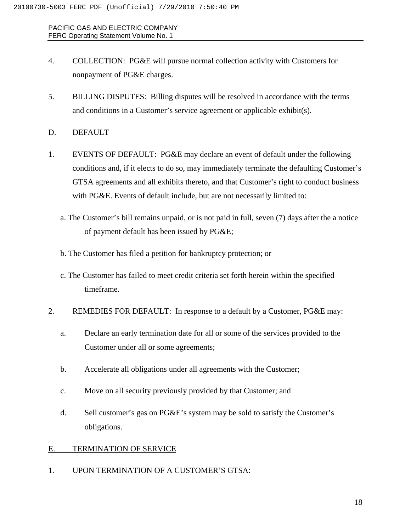- 4. COLLECTION: PG&E will pursue normal collection activity with Customers for nonpayment of PG&E charges.
- 5. BILLING DISPUTES: Billing disputes will be resolved in accordance with the terms and conditions in a Customer's service agreement or applicable exhibit(s).

# D. DEFAULT

- 1. EVENTS OF DEFAULT: PG&E may declare an event of default under the following conditions and, if it elects to do so, may immediately terminate the defaulting Customer's GTSA agreements and all exhibits thereto, and that Customer's right to conduct business with PG&E. Events of default include, but are not necessarily limited to:
	- a. The Customer's bill remains unpaid, or is not paid in full, seven (7) days after the a notice of payment default has been issued by PG&E;
	- b. The Customer has filed a petition for bankruptcy protection; or
	- c. The Customer has failed to meet credit criteria set forth herein within the specified timeframe.
- 2. REMEDIES FOR DEFAULT: In response to a default by a Customer, PG&E may:
	- a. Declare an early termination date for all or some of the services provided to the Customer under all or some agreements;
	- b. Accelerate all obligations under all agreements with the Customer;
	- c. Move on all security previously provided by that Customer; and
	- d. Sell customer's gas on PG&E's system may be sold to satisfy the Customer's obligations.

#### E. TERMINATION OF SERVICE

1. UPON TERMINATION OF A CUSTOMER'S GTSA: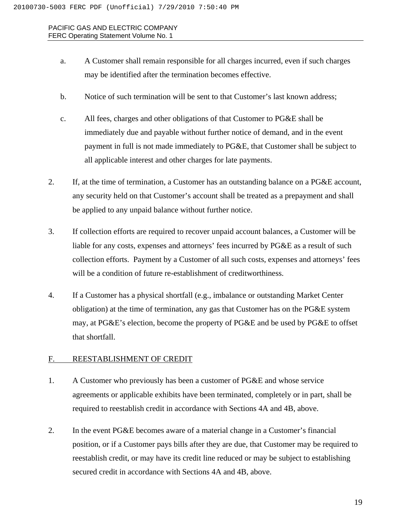- a. A Customer shall remain responsible for all charges incurred, even if such charges may be identified after the termination becomes effective.
- b. Notice of such termination will be sent to that Customer's last known address;
- c. All fees, charges and other obligations of that Customer to PG&E shall be immediately due and payable without further notice of demand, and in the event payment in full is not made immediately to PG&E, that Customer shall be subject to all applicable interest and other charges for late payments.
- 2. If, at the time of termination, a Customer has an outstanding balance on a PG&E account, any security held on that Customer's account shall be treated as a prepayment and shall be applied to any unpaid balance without further notice.
- 3. If collection efforts are required to recover unpaid account balances, a Customer will be liable for any costs, expenses and attorneys' fees incurred by PG&E as a result of such collection efforts. Payment by a Customer of all such costs, expenses and attorneys' fees will be a condition of future re-establishment of creditworthiness.
- 4. If a Customer has a physical shortfall (e.g., imbalance or outstanding Market Center obligation) at the time of termination, any gas that Customer has on the PG&E system may, at PG&E's election, become the property of PG&E and be used by PG&E to offset that shortfall.

# F. REESTABLISHMENT OF CREDIT

- 1. A Customer who previously has been a customer of PG&E and whose service agreements or applicable exhibits have been terminated, completely or in part, shall be required to reestablish credit in accordance with Sections 4A and 4B, above.
- 2. In the event PG&E becomes aware of a material change in a Customer's financial position, or if a Customer pays bills after they are due, that Customer may be required to reestablish credit, or may have its credit line reduced or may be subject to establishing secured credit in accordance with Sections 4A and 4B, above.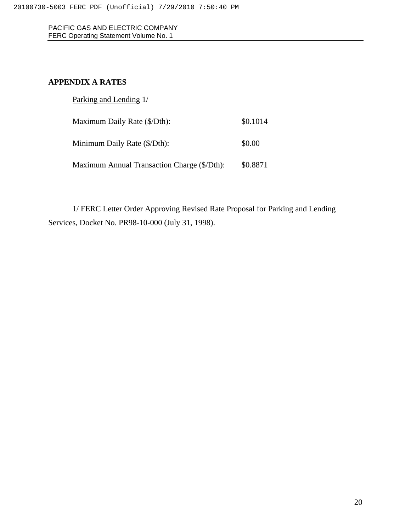# **APPENDIX A RATES**

| Parking and Lending 1/                      |          |
|---------------------------------------------|----------|
| Maximum Daily Rate (\$/Dth):                | \$0.1014 |
| Minimum Daily Rate (\$/Dth):                | \$0.00   |
| Maximum Annual Transaction Charge (\$/Dth): | \$0.8871 |

1/ FERC Letter Order Approving Revised Rate Proposal for Parking and Lending Services, Docket No. PR98-10-000 (July 31, 1998).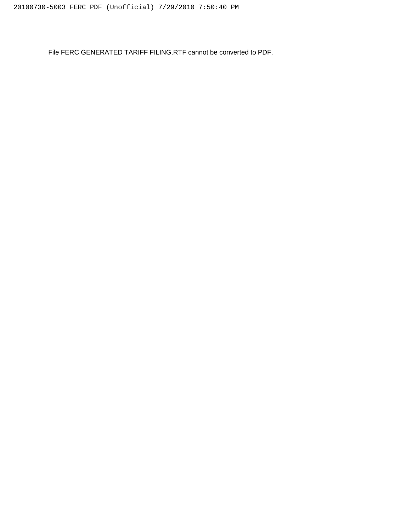File FERC GENERATED TARIFF FILING.RTF cannot be converted to PDF.